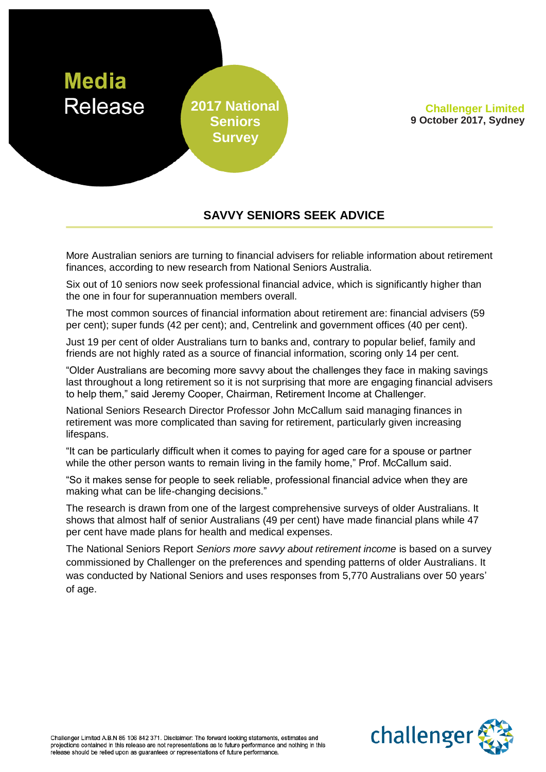

**Challenger Limited 9 October 2017, Sydney**

## **SAVVY SENIORS SEEK ADVICE**

More Australian seniors are turning to financial advisers for reliable information about retirement finances, according to new research from National Seniors Australia.

Six out of 10 seniors now seek professional financial advice, which is significantly higher than the one in four for superannuation members overall.

The most common sources of financial information about retirement are: financial advisers (59 per cent); super funds (42 per cent); and, Centrelink and government offices (40 per cent).

Just 19 per cent of older Australians turn to banks and, contrary to popular belief, family and friends are not highly rated as a source of financial information, scoring only 14 per cent.

"Older Australians are becoming more savvy about the challenges they face in making savings last throughout a long retirement so it is not surprising that more are engaging financial advisers to help them," said Jeremy Cooper, Chairman, Retirement Income at Challenger.

National Seniors Research Director Professor John McCallum said managing finances in retirement was more complicated than saving for retirement, particularly given increasing lifespans.

"It can be particularly difficult when it comes to paying for aged care for a spouse or partner while the other person wants to remain living in the family home," Prof. McCallum said.

"So it makes sense for people to seek reliable, professional financial advice when they are making what can be life-changing decisions."

The research is drawn from one of the largest comprehensive surveys of older Australians. It shows that almost half of senior Australians (49 per cent) have made financial plans while 47 per cent have made plans for health and medical expenses.

The National Seniors Report *Seniors more savvy about retirement income* is based on a survey commissioned by Challenger on the preferences and spending patterns of older Australians. It was conducted by National Seniors and uses responses from 5,770 Australians over 50 years' of age.